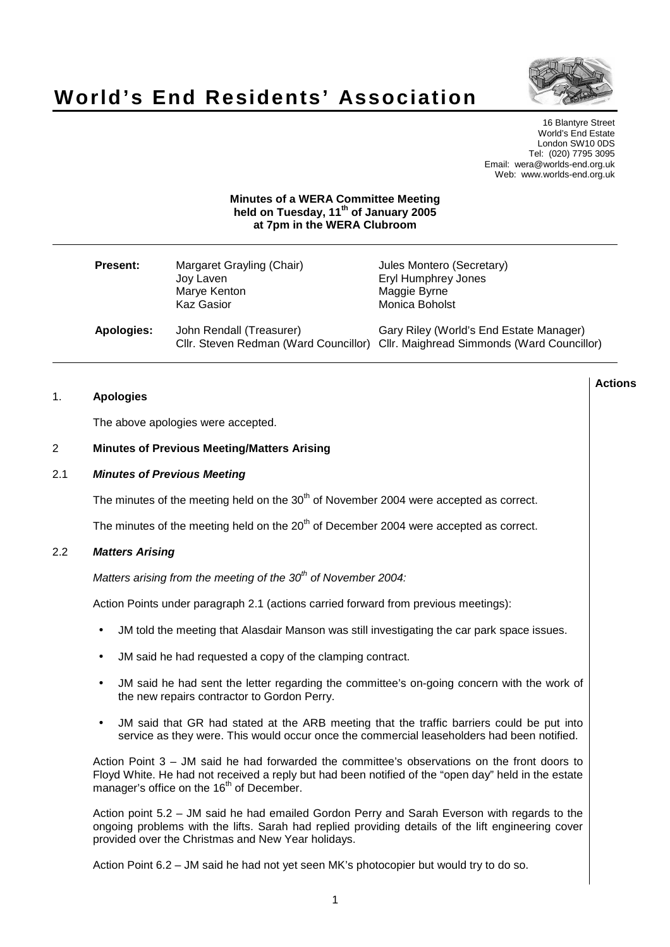

**Actions**

# **World's End Residents' Association**

16 Blantyre Street World's End Estate London SW10 0DS Tel: (020) 7795 3095 Email: wera@worlds-end.org.uk Web: www.worlds-end.org.uk

# **Minutes of a WERA Committee Meeting held on Tuesday, 11 th of January 2005 at 7pm in the WERA Clubroom**

| <b>Present:</b> | Margaret Grayling (Chair)<br>Joy Laven<br>Marye Kenton<br>Kaz Gasior | Jules Montero (Secretary)<br>Eryl Humphrey Jones<br>Maggie Byrne<br>Monica Boholst                                          |
|-----------------|----------------------------------------------------------------------|-----------------------------------------------------------------------------------------------------------------------------|
| Apologies:      | John Rendall (Treasurer)                                             | Gary Riley (World's End Estate Manager)<br>CIIr. Steven Redman (Ward Councillor) CIIr. Maighread Simmonds (Ward Councillor) |

# 1. **Apologies**

The above apologies were accepted.

## 2 **Minutes of Previous Meeting/Matters Arising**

# 2.1 **Minutes of Previous Meeting**

The minutes of the meeting held on the  $30<sup>th</sup>$  of November 2004 were accepted as correct.

The minutes of the meeting held on the  $20<sup>th</sup>$  of December 2004 were accepted as correct.

# 2.2 **Matters Arising**

Matters arising from the meeting of the 30<sup>th</sup> of November 2004:

Action Points under paragraph 2.1 (actions carried forward from previous meetings):

- JM told the meeting that Alasdair Manson was still investigating the car park space issues.
- JM said he had requested a copy of the clamping contract.
- JM said he had sent the letter regarding the committee's on-going concern with the work of the new repairs contractor to Gordon Perry.
- JM said that GR had stated at the ARB meeting that the traffic barriers could be put into service as they were. This would occur once the commercial leaseholders had been notified.

Action Point 3 – JM said he had forwarded the committee's observations on the front doors to Floyd White. He had not received a reply but had been notified of the "open day" held in the estate manager's office on the 16<sup>th</sup> of December.

Action point 5.2 – JM said he had emailed Gordon Perry and Sarah Everson with regards to the ongoing problems with the lifts. Sarah had replied providing details of the lift engineering cover provided over the Christmas and New Year holidays.

Action Point 6.2 – JM said he had not yet seen MK's photocopier but would try to do so.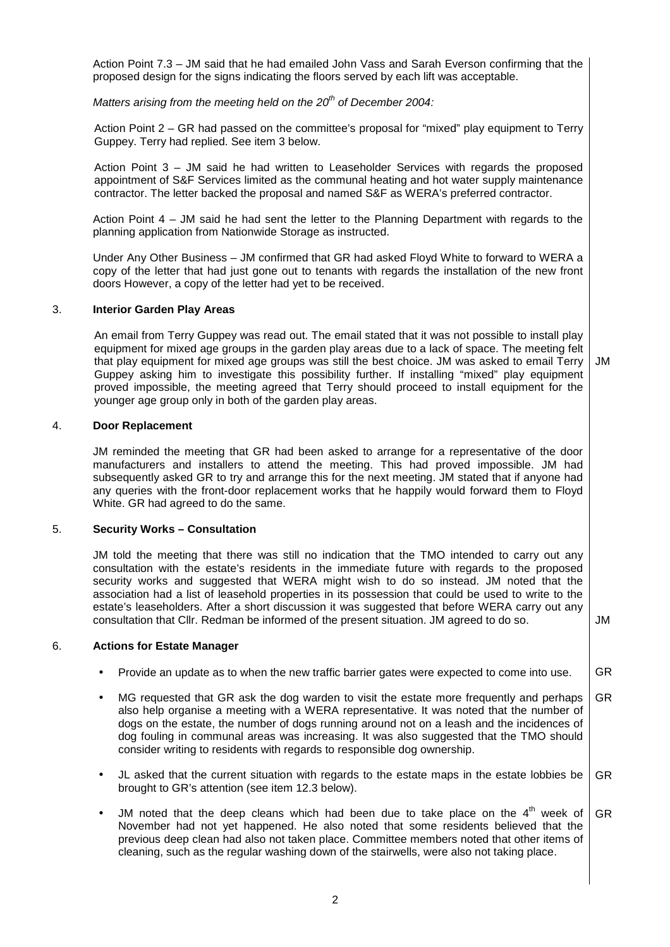Action Point 7.3 – JM said that he had emailed John Vass and Sarah Everson confirming that the proposed design for the signs indicating the floors served by each lift was acceptable.

Matters arising from the meeting held on the 20 $^{th}$  of December 2004:

Action Point 2 – GR had passed on the committee's proposal for "mixed" play equipment to Terry Guppey. Terry had replied. See item 3 below.

Action Point 3 – JM said he had written to Leaseholder Services with regards the proposed appointment of S&F Services limited as the communal heating and hot water supply maintenance contractor. The letter backed the proposal and named S&F as WERA's preferred contractor.

Action Point 4 – JM said he had sent the letter to the Planning Department with regards to the planning application from Nationwide Storage as instructed.

Under Any Other Business – JM confirmed that GR had asked Floyd White to forward to WERA a copy of the letter that had just gone out to tenants with regards the installation of the new front doors However, a copy of the letter had yet to be received.

#### 3. **Interior Garden Play Areas**

An email from Terry Guppey was read out. The email stated that it was not possible to install play equipment for mixed age groups in the garden play areas due to a lack of space. The meeting felt that play equipment for mixed age groups was still the best choice. JM was asked to email Terry Guppey asking him to investigate this possibility further. If installing "mixed" play equipment proved impossible, the meeting agreed that Terry should proceed to install equipment for the younger age group only in both of the garden play areas. JM

#### 4. **Door Replacement**

JM reminded the meeting that GR had been asked to arrange for a representative of the door manufacturers and installers to attend the meeting. This had proved impossible. JM had subsequently asked GR to try and arrange this for the next meeting. JM stated that if anyone had any queries with the front-door replacement works that he happily would forward them to Floyd White. GR had agreed to do the same.

#### 5. **Security Works – Consultation**

JM told the meeting that there was still no indication that the TMO intended to carry out any consultation with the estate's residents in the immediate future with regards to the proposed security works and suggested that WERA might wish to do so instead. JM noted that the association had a list of leasehold properties in its possession that could be used to write to the estate's leaseholders. After a short discussion it was suggested that before WERA carry out any consultation that Cllr. Redman be informed of the present situation. JM agreed to do so.  $\vert$  JM

#### 6. **Actions for Estate Manager**

- Provide an update as to when the new traffic barrier gates were expected to come into use. GR
- MG requested that GR ask the dog warden to visit the estate more frequently and perhaps also help organise a meeting with a WERA representative. It was noted that the number of dogs on the estate, the number of dogs running around not on a leash and the incidences of dog fouling in communal areas was increasing. It was also suggested that the TMO should consider writing to residents with regards to responsible dog ownership. GR
- JL asked that the current situation with regards to the estate maps in the estate lobbies be brought to GR's attention (see item 12.3 below). GR
- JM noted that the deep cleans which had been due to take place on the  $4<sup>th</sup>$  week of November had not yet happened. He also noted that some residents believed that the previous deep clean had also not taken place. Committee members noted that other items of cleaning, such as the regular washing down of the stairwells, were also not taking place. GR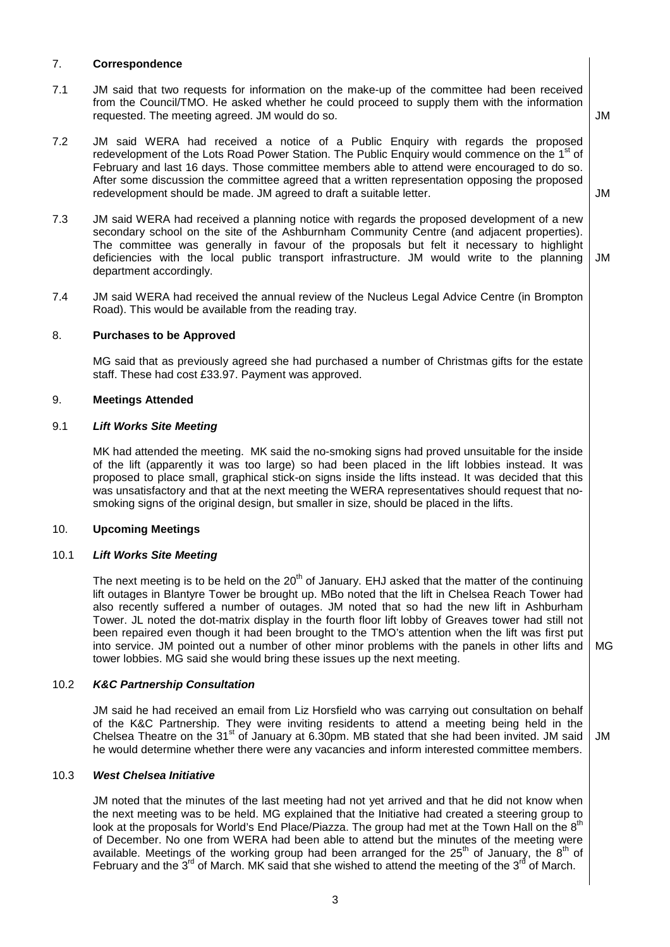# 7. **Correspondence**

- 7.1 JM said that two requests for information on the make-up of the committee had been received from the Council/TMO. He asked whether he could proceed to supply them with the information requested. The meeting agreed. JM would do so.
- 7.2 JM said WERA had received a notice of a Public Enquiry with regards the proposed redevelopment of the Lots Road Power Station. The Public Enquiry would commence on the 1<sup>st</sup> of February and last 16 days. Those committee members able to attend were encouraged to do so. After some discussion the committee agreed that a written representation opposing the proposed redevelopment should be made. JM agreed to draft a suitable letter.

JM

JM

JM

- 7.3 JM said WERA had received a planning notice with regards the proposed development of a new secondary school on the site of the Ashburnham Community Centre (and adjacent properties). The committee was generally in favour of the proposals but felt it necessary to highlight deficiencies with the local public transport infrastructure. JM would write to the planning department accordingly. JM
- 7.4 JM said WERA had received the annual review of the Nucleus Legal Advice Centre (in Brompton Road). This would be available from the reading tray.

## 8. **Purchases to be Approved**

MG said that as previously agreed she had purchased a number of Christmas gifts for the estate staff. These had cost £33.97. Payment was approved.

#### 9. **Meetings Attended**

#### 9.1 **Lift Works Site Meeting**

MK had attended the meeting. MK said the no-smoking signs had proved unsuitable for the inside of the lift (apparently it was too large) so had been placed in the lift lobbies instead. It was proposed to place small, graphical stick-on signs inside the lifts instead. It was decided that this was unsatisfactory and that at the next meeting the WERA representatives should request that nosmoking signs of the original design, but smaller in size, should be placed in the lifts.

## 10. **Upcoming Meetings**

#### 10.1 **Lift Works Site Meeting**

The next meeting is to be held on the 20<sup>th</sup> of January. EHJ asked that the matter of the continuing lift outages in Blantyre Tower be brought up. MBo noted that the lift in Chelsea Reach Tower had also recently suffered a number of outages. JM noted that so had the new lift in Ashburham Tower. JL noted the dot-matrix display in the fourth floor lift lobby of Greaves tower had still not been repaired even though it had been brought to the TMO's attention when the lift was first put into service. JM pointed out a number of other minor problems with the panels in other lifts and tower lobbies. MG said she would bring these issues up the next meeting. MG

## 10.2 **K&C Partnership Consultation**

JM said he had received an email from Liz Horsfield who was carrying out consultation on behalf of the K&C Partnership. They were inviting residents to attend a meeting being held in the Chelsea Theatre on the 31<sup>st</sup> of January at 6.30pm. MB stated that she had been invited. JM said he would determine whether there were any vacancies and inform interested committee members.

## 10.3 **West Chelsea Initiative**

JM noted that the minutes of the last meeting had not yet arrived and that he did not know when the next meeting was to be held. MG explained that the Initiative had created a steering group to look at the proposals for World's End Place/Piazza. The group had met at the Town Hall on the  $8<sup>th</sup>$ of December. No one from WERA had been able to attend but the minutes of the meeting were available. Meetings of the working group had been arranged for the 25<sup>th</sup> of January, the 8<sup>th</sup> of February and the  $3^{\text{rd}}$  of March. MK said that she wished to attend the meeting of the  $3^{\text{rd}}$  of March.